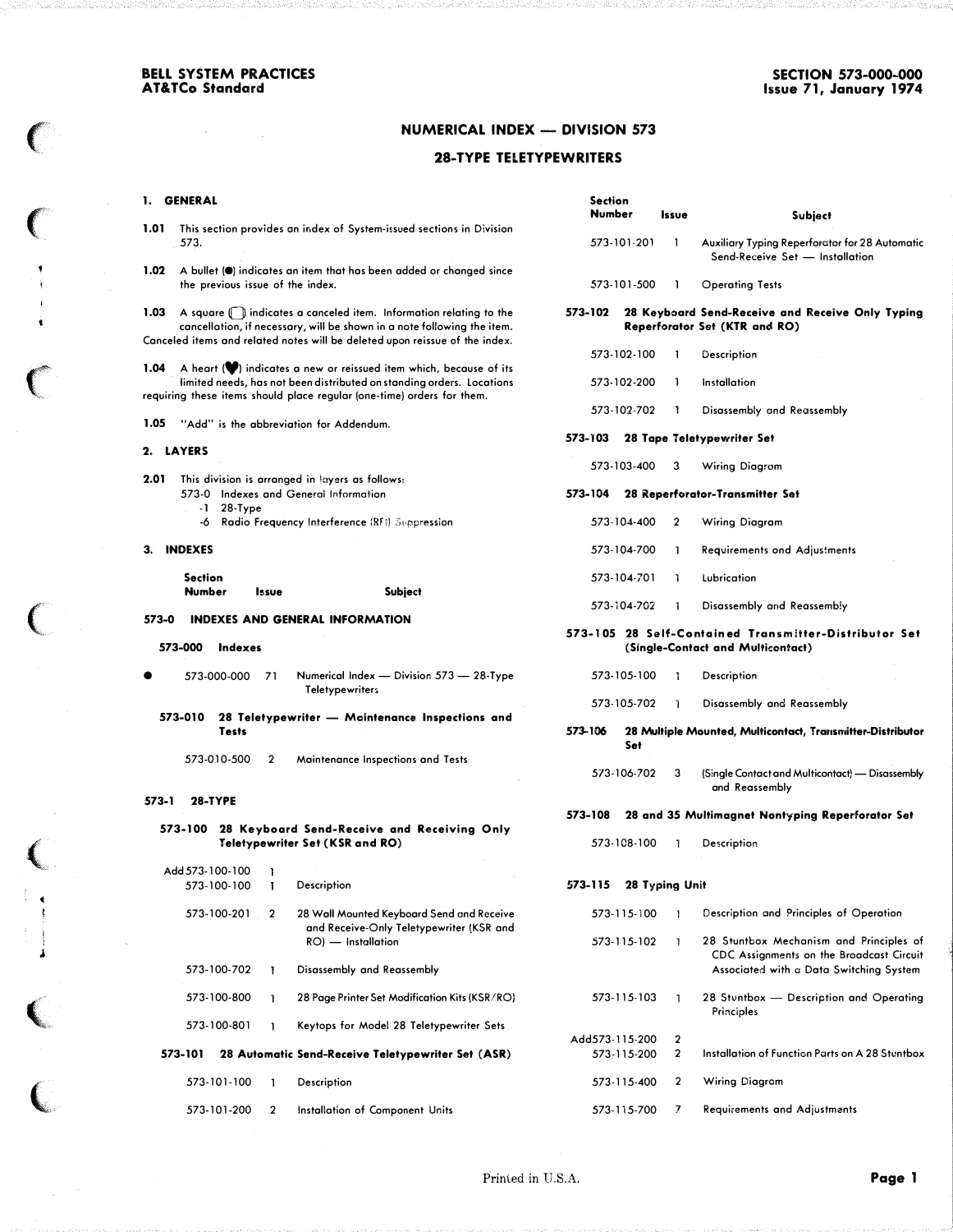$\sim$   $\sim$ 

 $\sim$ 

## **NUMERICAL INDEX - DIVISION 573**

### 28-TYPE TELETYPEWRITERS

#### $\mathbf{1}$ .

 $\mathbb C$ 

 $\big($ 

 $\bigl($ 

 $\big($ 

t t

.1

 $\big($ 

 $\overline{\mathbb{C}}$ 

| 1.    | <b>GENERAL</b>                                        |                                                                                                                                                 | <b>Section</b><br>Number                                              |             |                |                                                                                            |  |  |
|-------|-------------------------------------------------------|-------------------------------------------------------------------------------------------------------------------------------------------------|-----------------------------------------------------------------------|-------------|----------------|--------------------------------------------------------------------------------------------|--|--|
| 1.01  |                                                       | This section provides an index of System-issued sections in Division                                                                            |                                                                       |             | Issue          | Subject                                                                                    |  |  |
|       | 573.                                                  |                                                                                                                                                 |                                                                       | 573-101-201 | 1              | Auxiliary Typing Reperforator for 28 Automatic<br>Send-Receive Set - Installation          |  |  |
| 1.02  | the previous issue of the index.                      | A bullet (.) indicates an item that has been added or changed since                                                                             |                                                                       | 573-101-500 | <b>1</b>       | <b>Operating Tests</b>                                                                     |  |  |
| 1.03  |                                                       | A square (i) indicates a canceled item. Information relating to the<br>cancellation, if necessary, will be shown in a note following the item.  | 573-102                                                               |             |                | 28 Keyboard Send-Receive and Receive Only Typing<br>Reperforator Set (KTR and RO)          |  |  |
|       |                                                       | Canceled items and related notes will be deleted upon reissue of the index.                                                                     |                                                                       |             |                |                                                                                            |  |  |
| 1.04  |                                                       | A heart (V) indicates a new or reissued item which, because of its                                                                              |                                                                       | 573-102-100 |                | Description                                                                                |  |  |
|       |                                                       | limited needs, has not been distributed on standing orders. Locations<br>requiring these items should place regular (one-time) orders for them. |                                                                       | 573-102-200 | -1             | Installation                                                                               |  |  |
|       |                                                       |                                                                                                                                                 |                                                                       | 573-102-702 | 1              | Disassembly and Reassembly                                                                 |  |  |
| 1.05  | "Add" is the abbreviation for Addendum.               |                                                                                                                                                 |                                                                       |             |                |                                                                                            |  |  |
|       | 2. LAYERS                                             |                                                                                                                                                 | 573-103                                                               |             |                | <b>28 Tape Teletypewriter Set</b>                                                          |  |  |
|       |                                                       |                                                                                                                                                 |                                                                       | 573-103-400 | 3              | Wiring Diagram                                                                             |  |  |
| 2.01  |                                                       | This division is arranged in layers as follows:                                                                                                 |                                                                       |             |                |                                                                                            |  |  |
|       | 573-0 Indexes and General Information<br>$-1$ 28-Type |                                                                                                                                                 | 573-104                                                               |             |                | 28 Reperforator-Transmitter Set                                                            |  |  |
|       |                                                       | -6 Radio Frequency Interference (RFI) Suppression                                                                                               |                                                                       | 573-104-400 | 2              | Wiring Diagram                                                                             |  |  |
| З.    | <b>INDEXES</b>                                        |                                                                                                                                                 |                                                                       | 573-104-700 | -1             | <b>Requirements ond Adjustments</b>                                                        |  |  |
|       | <b>Section</b>                                        |                                                                                                                                                 |                                                                       | 573-104-701 | J.             | Lubrication                                                                                |  |  |
| 573-0 | <b>Number</b><br><b>Issue</b>                         | Subject<br><b>INDEXES AND GENERAL INFORMATION</b>                                                                                               |                                                                       | 573-104-702 | 1              | Disassembly and Reassembly                                                                 |  |  |
|       | 573-000<br>Indexes                                    |                                                                                                                                                 |                                                                       |             |                | 573–105 28 Self-Contained Transmitter-Distributor Set<br>(Single-Contact and Multicontact) |  |  |
|       | 573-000-000<br>71                                     | Numerical Index — Division 573 — 28-Type<br><b>Teletypewriters</b>                                                                              |                                                                       | 573-105-100 | Т.             | Description                                                                                |  |  |
|       |                                                       |                                                                                                                                                 |                                                                       | 573-105-702 | J.             | Disassembly and Reassembly                                                                 |  |  |
|       | 573-010<br><b>Tests</b>                               | 28 Teletypewriter - Maintenance Inspections and                                                                                                 | 573-106<br>28 Multiple Mounted, Multicontact, Transmitter-Distributor |             |                |                                                                                            |  |  |
|       | 573-010-500<br>2                                      | Maintenance Inspections and Tests                                                                                                               |                                                                       | Set         |                |                                                                                            |  |  |
|       |                                                       |                                                                                                                                                 |                                                                       | 573-106-702 | 3              | (Single Contact and Multicontact) - Disassembly<br>and Reassembly                          |  |  |
| 573-1 | <b>28-TYPE</b>                                        |                                                                                                                                                 |                                                                       |             |                |                                                                                            |  |  |
|       | 573-100                                               | 28 Keyboard Send-Receive and Receiving Only                                                                                                     | 573-108                                                               |             |                | 28 and 35 Multimagnet Nontyping Reperforator Set                                           |  |  |
|       |                                                       | <b>Teletypewriter Set (KSR and RO)</b>                                                                                                          |                                                                       | 573-108-100 | $\mathbf{L}$   | Description                                                                                |  |  |
|       | Add 573-100-100<br>Ŧ                                  |                                                                                                                                                 |                                                                       |             |                |                                                                                            |  |  |
|       | 573-100-100<br>L                                      | Description                                                                                                                                     | 573-115                                                               |             | 28 Typing Unit |                                                                                            |  |  |
|       | 573-100-201<br>2                                      | 28 Wall Mounted Keyboard Send and Receive<br>and Receive-Only Teletypewriter (KSR and                                                           |                                                                       | 573-115-100 | -1             | Description and Principles of Operation                                                    |  |  |
|       |                                                       | RO) - Installation                                                                                                                              |                                                                       | 573-115-102 | J.             | 28 Stuntbox Mechanism and Principles of<br>CDC Assignments on the Broadcast Circuit        |  |  |
|       | 573-100-702<br>Ţ.                                     | Disassembly and Reassembly                                                                                                                      |                                                                       |             |                | Associated with a Data Switching System                                                    |  |  |
|       | 573-100-800<br>-1                                     | 28 Page Printer Set Modification Kits (KSR/RO)                                                                                                  |                                                                       | 573-115-103 | -1             | 28 Stuntbox - Description and Operating<br>Principles                                      |  |  |
|       | 573-100-801<br>-1                                     | Keytops for Model 28 Teletypewriter Sets                                                                                                        | Add573-115-200                                                        |             | $\mathbf{2}$   |                                                                                            |  |  |
|       | 573-101                                               | 28 Automatic Send-Receive Teletypewriter Set (ASR)                                                                                              |                                                                       | 573-115-200 | $\mathbf{2}$   | Installation of Function Parts on A 28 Stuntbox                                            |  |  |
|       | 573-101-100<br>1                                      | Description                                                                                                                                     |                                                                       | 573-115-400 | 2              | Wiring Diagram                                                                             |  |  |
|       | 573-101-200<br>$\mathbf 2$                            | Installation of Component Units                                                                                                                 |                                                                       | 573-115-700 | 7              | <b>Requirements and Adjustments</b>                                                        |  |  |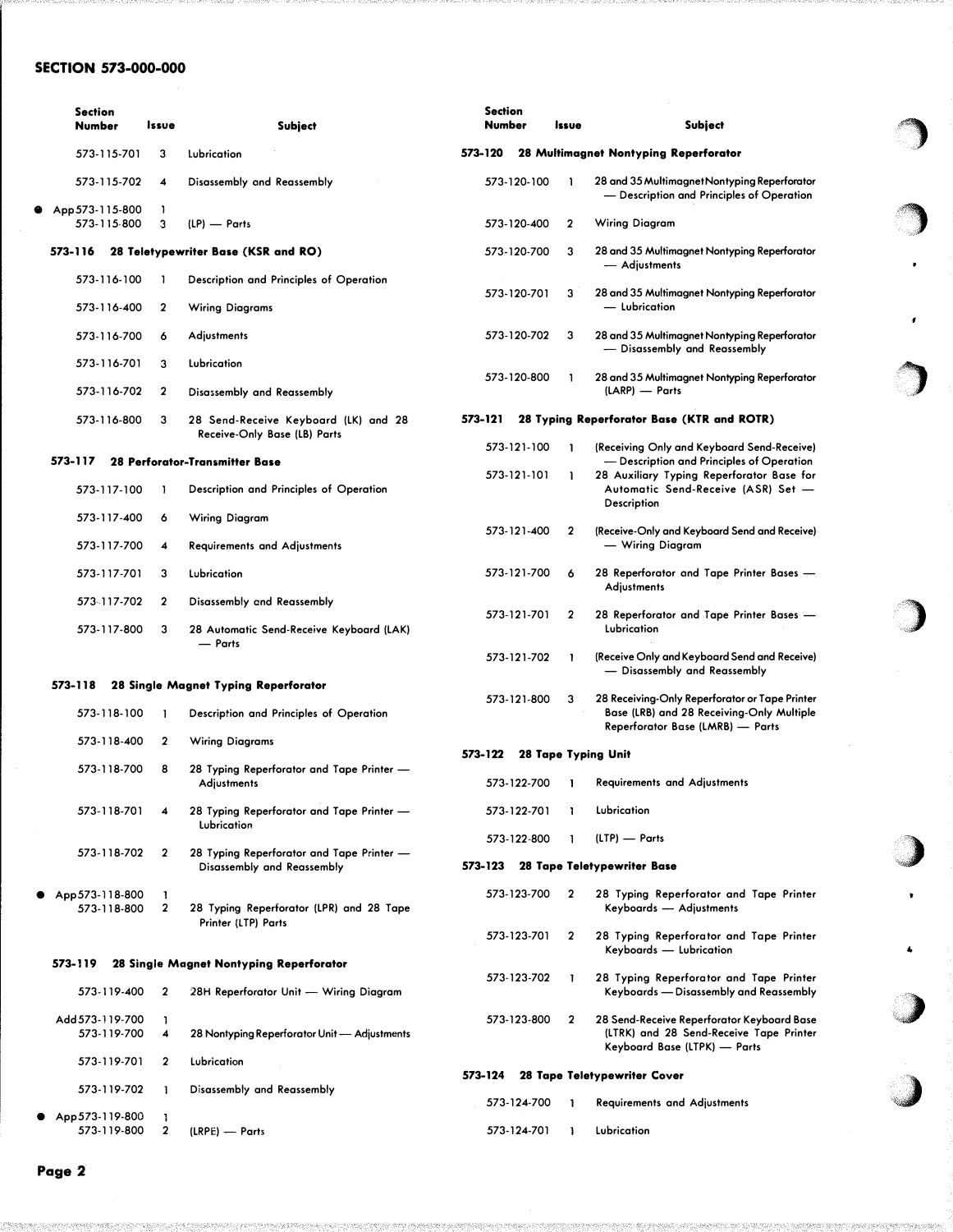## SECTION 573-000-000

|   | <b>Section</b><br><b>Number</b> | Issue        | <b>Subject</b>                                                                    |         | <b>Section</b><br>Number |             | Issue | <b>Subject</b>                                                                                                        |
|---|---------------------------------|--------------|-----------------------------------------------------------------------------------|---------|--------------------------|-------------|-------|-----------------------------------------------------------------------------------------------------------------------|
|   | 573-115-701                     | 3            | Lubrication                                                                       | 573-120 |                          |             |       | 28 Multimagnet Nontyping Reperforator                                                                                 |
|   | 573-115-702                     | 4            | Disassembly and Reassembly                                                        |         |                          | 573-120-100 |       | 28 and 35 MultimagnetNontyping Reperforator<br>- Description and Principles of Operation                              |
| ⊕ | App 573-115-800<br>573-115-800  | J.<br>3      | (LP) - Parts                                                                      |         |                          | 573-120-400 | 2     | Wiring Diagram                                                                                                        |
|   | 573-116                         |              | 28 Teletypewriter Base (KSR and RO)                                               |         |                          | 573-120-700 | 3     | 28 and 35 Multimagnet Nontyping Reperforator<br>— Adjustments                                                         |
|   | 573-116-100                     | -1           | Description and Principles of Operation                                           |         |                          | 573-120-701 | 3     | 28 and 35 Multimagnet Nontyping Reperforator                                                                          |
|   | 573-116-400                     | $\mathbf{2}$ | <b>Wiring Diagrams</b>                                                            |         |                          |             |       | — Lubrication                                                                                                         |
|   | 573-116-700                     | 6            | <b>Adjustments</b>                                                                |         |                          | 573-120-702 | 3     | 28 and 35 Multimagnet Nontyping Reperforator<br>- Disassembly and Reassembly                                          |
|   | 573-116-701                     | 3            | Lubrication                                                                       |         |                          | 573-120-800 |       | 28 and 35 Multimagnet Nontyping Reperforator                                                                          |
|   | 573-116-702                     | $\mathbf{2}$ | Disassembly and Reassembly                                                        |         |                          |             |       | (LARP) - Parts                                                                                                        |
|   | 573-116-800                     | 3            | 28 Send-Receive Keyboard (LK) and 28<br>Receive-Only Base (LB) Parts              | 573-121 |                          |             |       | 28 Typing Reperforator Base (KTR and ROTR)                                                                            |
|   | 573-117                         |              | <b>28 Perforator-Transmitter Base</b>                                             |         |                          | 573-121-100 |       | (Receiving Only and Keyboard Send-Receive)<br>- Description and Principles of Operation                               |
|   | 573-117-100                     | J.           | Description and Principles of Operation                                           |         |                          | 573-121-101 | ı     | 28 Auxiliary Typing Reperforator Base for<br>Automatic Send-Receive (ASR) Set -<br>Description                        |
|   | 573-117-400                     | 6            | Wiring Diagram                                                                    |         |                          | 573-121-400 | 2     | (Receive-Only and Keyboard Send and Receive)                                                                          |
|   | 573-117-700                     | 4            | <b>Requirements and Adjustments</b>                                               |         |                          |             |       | — Wiring Diagram                                                                                                      |
|   | 573-117-701                     | 3            | Lubrication                                                                       |         |                          | 573-121-700 | 6     | 28 Reperforator and Tape Printer Bases -<br>Adjustments                                                               |
|   | 573-117-702                     | $\mathbf{2}$ | Disassembly and Reassembly                                                        |         |                          | 573-121-701 | 2     | 28 Reperforator and Tape Printer Bases -                                                                              |
|   | 573-117-800                     | 3            | 28 Automatic Send-Receive Keyboard (LAK)<br>- Parts                               |         |                          |             |       | Lubrication                                                                                                           |
|   |                                 |              |                                                                                   |         |                          | 573-121-702 | 1     | (Receive Only and Keyboard Send and Receive)<br>- Disassembly and Reassembly                                          |
|   | 573-118                         |              | 28 Single Magnet Typing Reperforator                                              |         |                          | 573-121-800 | 3     | 28 Receiving-Only Reperforator or Tape Printer                                                                        |
|   | 573-118-100                     | 1            | Description and Principles of Operation                                           |         |                          |             |       | Base (LRB) and 28 Receiving-Only Multiple<br>Reperforator Base (LMRB) - Parts                                         |
|   | 573-118-400                     | $\mathbf{2}$ | <b>Wiring Diagrams</b>                                                            | 573-122 |                          |             |       | 28 Tape Typing Unit                                                                                                   |
|   | 573-118-700                     | 8            | 28 Typing Reperforator and Tape Printer -<br>Adjustments                          |         |                          | 573-122-700 | П     | <b>Requirements and Adjustments</b>                                                                                   |
|   | 573-118-701                     | 4            | 28 Typing Reperforator and Tape Printer -<br>Lubrication                          |         |                          | 573-122-701 | 1     | Lubrication                                                                                                           |
|   |                                 |              |                                                                                   |         |                          | 573-122-800 |       | (LTP) — Parts                                                                                                         |
|   | 573-118-702                     | 2            | 28 Typing Reperforator and Tape Printer —<br>Disassembly and Reassembly           | 573-123 |                          |             |       | 28 Tape Teletypewriter Base                                                                                           |
|   | App 573-118-800<br>573-118-800  | Т.<br>2      | 28 Typing Reperforator (LPR) and 28 Tape<br>Printer (LTP) Parts                   |         |                          | 573-123-700 | 2     | 28 Typing Reperforator and Tape Printer<br>Keyboards - Adjustments                                                    |
|   |                                 |              |                                                                                   |         |                          | 573-123-701 | 2     | 28 Typing Reperforator and Tape Printer<br>Keyboards — Lubrication                                                    |
|   | 573-119<br>573-119-400          | 2            | 28 Single Magnet Nontyping Reperforator<br>28H Reperforator Unit - Wiring Diagram |         |                          | 573-123-702 | Ŧ     | 28 Typing Reperforator and Tape Printer<br>Keyboards — Disassembly and Reassembly                                     |
|   | Add 573-119-700<br>573-119-700  | -1<br>4      | 28 Nontyping Reperforator Unit - Adjustments                                      |         |                          | 573-123-800 | 2     | 28 Send-Receive Reperforator Keyboard Base<br>(LTRK) and 28 Send-Receive Tape Printer<br>Keyboard Base (LTPK) - Parts |
|   | 573-119-701                     | 2            | Lubrication                                                                       | 573-124 |                          |             |       | 28 Tape Teletypewriter Cover                                                                                          |
|   | 573-119-702                     | T            | Disassembly and Reassembly                                                        |         |                          | 573-124-700 | -1    | <b>Requirements and Adjustments</b>                                                                                   |
|   | App 573-119-800<br>573-119-800  | J.<br>2      | (LRPE) — Parts                                                                    |         |                          | 573-124-701 | J.    | Lubrication                                                                                                           |

f�

,,

)

)

,,)

4

�,)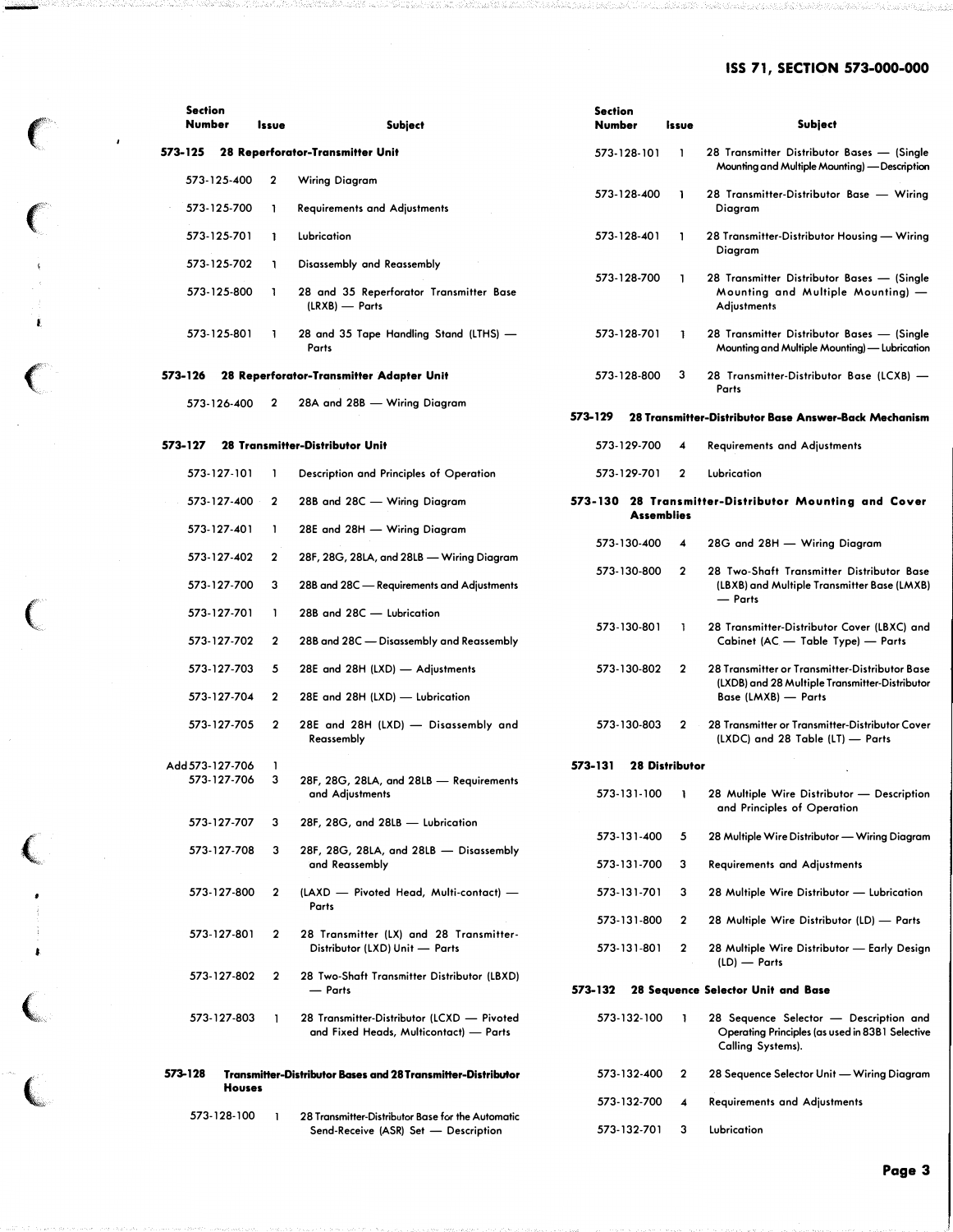# ISS 71, SECTION 573-000-000

| <b>Section</b><br>Number |               | Issue        | <b>Subject</b>                                                                            | <b>Section</b><br>Number |                   | <i><b>Issue</b></i>   | <b>Subject</b>                                                                                                 |
|--------------------------|---------------|--------------|-------------------------------------------------------------------------------------------|--------------------------|-------------------|-----------------------|----------------------------------------------------------------------------------------------------------------|
| 573-125                  |               |              | 28 Reperforator-Transmitter Unit                                                          |                          | 573-128-101       | 1                     | 28 Transmitter Distributor Bases - (Single<br>Mounting and Multiple Mounting) — Description                    |
| 573-125-400              |               | 2            | <b>Wiring Diagram</b>                                                                     |                          | 573-128-400       | J.                    | 28 Transmitter-Distributor Base - Wiring                                                                       |
| 573 125 700              |               |              | <b>Requirements and Adjustments</b>                                                       |                          |                   |                       | Diagram                                                                                                        |
| 573 125 701              |               | ı            | Lubrication                                                                               |                          | 573-128-401       | -1                    | 28 Transmitter-Distributor Housing - Wiring<br>Diagram                                                         |
| 573 125 702              |               |              | Disassembly and Reassembly                                                                |                          | 573 128-700       | ı                     | 28 Transmitter Distributor Bases - (Single                                                                     |
| 573-125-800              |               |              | 28 and 35 Reperforator Transmitter Base<br>(LRXB) - Parts                                 |                          |                   |                       | Mounting and Multiple Mounting) -<br><b>Adjustments</b>                                                        |
| 573-125-801              |               |              | 28 and 35 Tape Handling Stand (LTHS) —<br>Parts                                           |                          | 573-128-701       | 1                     | 28 Transmitter Distributor Bases — (Single<br>Mounting and Multiple Mounting) — Lubrication                    |
| 573-126                  |               |              | 28 Reperforator-Transmitter Adapter Unit                                                  |                          | 573-128-800       | з                     | 28 Transmitter-Distributor Base (LCXB) —<br>Parts                                                              |
| 573-126-400              |               | 2            | 28A and 28B - Wiring Diagram                                                              |                          |                   |                       |                                                                                                                |
|                          |               |              |                                                                                           | 573-129                  |                   |                       | 28 Transmitter-Distributor Base Answer-Back Mechanism                                                          |
| 573-127                  |               |              | 28 Transmitter-Distributor Unit                                                           |                          | 573-129-700       | 4                     | <b>Requirements and Adjustments</b>                                                                            |
| 573-127-101              |               |              | Description and Principles of Operation                                                   |                          | 573-129-701       | $\mathbf{2}$          | Lubrication                                                                                                    |
| 573-127-400              |               | $\mathbf{2}$ | 28B and 28C — Wiring Diagram                                                              |                          | <b>Assemblies</b> |                       | 573-130 28 Transmitter-Distributor Mounting and Cover                                                          |
| 573-127-401              |               | 1            | 28E and 28H — Wiring Diagram                                                              |                          | 573-130-400       | 4                     | 28G and 28H - Wiring Diagram                                                                                   |
| 573-127-402              |               | 2            | 28F, 28G, 28LA, and 28LB — Wiring Diagram                                                 |                          |                   |                       |                                                                                                                |
| 573-127-700              |               | 3            | 28B and 28C - Requirements and Adjustments                                                |                          | 573-130-800       | $\mathbf{2}$          | 28 Two-Shaft Transmitter Distributor Base<br>(LBXB) and Multiple Transmitter Base (LMXB)<br>- Parts            |
| 573-127-701              |               | 1            | 28B and 28C - Lubrication                                                                 |                          |                   |                       |                                                                                                                |
| 573-127-702              |               | 2            | 28B and 28C - Disassembly and Reassembly                                                  |                          | 573-130-801       | 1                     | 28 Transmitter-Distributor Cover (LBXC) and<br>Cabinet (AC - Table Type) - Parts                               |
| 573-127-703              |               | 5            | 28E and 28H (LXD) — Adjustments                                                           |                          | 573-130-802       | $\mathbf{2}$          | 28 Transmitter or Transmitter-Distributor Base<br>(LXDB) and 28 Multiple Transmitter-Distributor               |
| 573-127-704              |               | $\mathbf{2}$ | 28E and 28H (LXD) - Lubrication                                                           |                          |                   |                       | Base (LMXB) - Parts                                                                                            |
| 573-127-705              |               | $\mathbf{2}$ | 28E and 28H (LXD) - Disassembly and<br>Reassembly                                         |                          | 573-130-803       | $\mathbf{2}$          | 28 Transmitter or Transmitter-Distributor Cover<br>(LXDC) and 28 Table (LT) — Parts                            |
| Add 573-127-706          |               | 1            |                                                                                           | 573-131                  |                   | <b>28 Distributor</b> |                                                                                                                |
| 573-127-706              |               | 3            | 28F, 28G, 28LA, and 28LB - Requirements<br>and Adjustments                                |                          | 573-131-100       | ı                     | 28 Multiple Wire Distributor - Description<br>and Principles of Operation                                      |
| 573-127-707              |               | з            | 28F, 28G, and 28LB - Lubrication                                                          |                          | 573-131-400       | 5                     | 28 Multiple Wire Distributor — Wiring Diagram                                                                  |
| 573-127-708              |               | 3            | 28F, 28G, 28LA, and 28LB - Disassembly<br>and Reassembly                                  |                          | 573-131-700       | 3                     | <b>Requirements and Adjustments</b>                                                                            |
| 573-127-800              |               | $\mathbf{2}$ | (LAXD - Pivoted Head, Multi-contact) -                                                    |                          | 573-131-701       | 3                     | 28 Multiple Wire Distributor - Lubrication                                                                     |
|                          |               |              | Parts                                                                                     |                          | 573-131-800       | 2                     | 28 Multiple Wire Distributor (LD) - Parts                                                                      |
| 573-127-801              |               | 2            | 28 Transmitter (LX) and 28 Transmitter-<br>Distributor (LXD) Unit - Parts                 |                          | 573-131-801       | $\mathbf 2$           | 28 Multiple Wire Distributor - Early Design<br>(LD) — Parts                                                    |
| 573 127 802              |               | $\mathbf 2$  | 28 Two-Shaft Transmitter Distributor (LBXD)<br>— Parts                                    | 573-132                  |                   |                       | 28 Sequence Selector Unit and Base                                                                             |
| 573-127-803              |               | J.           | 28 Transmitter-Distributor (LCXD - Pivoted<br>and Fixed Heads, Multicontact) — Parts      |                          | 573-132-100       | 1                     | 28 Sequence Selector - Description and<br>Operating Principles (as used in 83B1 Selective<br>Calling Systems). |
| 573-128                  | <b>Houses</b> |              | Transmitter-Distributor Bases and 28 Transmitter-Distributor                              |                          | 573-132-400       | $\mathbf 2$           | 28 Sequence Selector Unit — Wiring Diagram                                                                     |
|                          |               |              |                                                                                           |                          | 573-132-700       | 4                     | Requirements and Adjustments                                                                                   |
| 573-128-100              |               |              | 28 Transmitter-Distributor Base for the Automatic<br>Send-Receive (ASR) Set - Description |                          | 573-132-701       | 3                     | Lubrication                                                                                                    |

 $\left($ 

 $\big($ 

 $\mathcal{L}$ 

 $\overline{\phantom{a}}$ 

 $\begin{array}{c} \begin{array}{c} \begin{array}{c} \hline \hline \hline \hline \hline \hline \end{array} \\ \hline \end{array}$ 

line and the contract of the con-

Page 3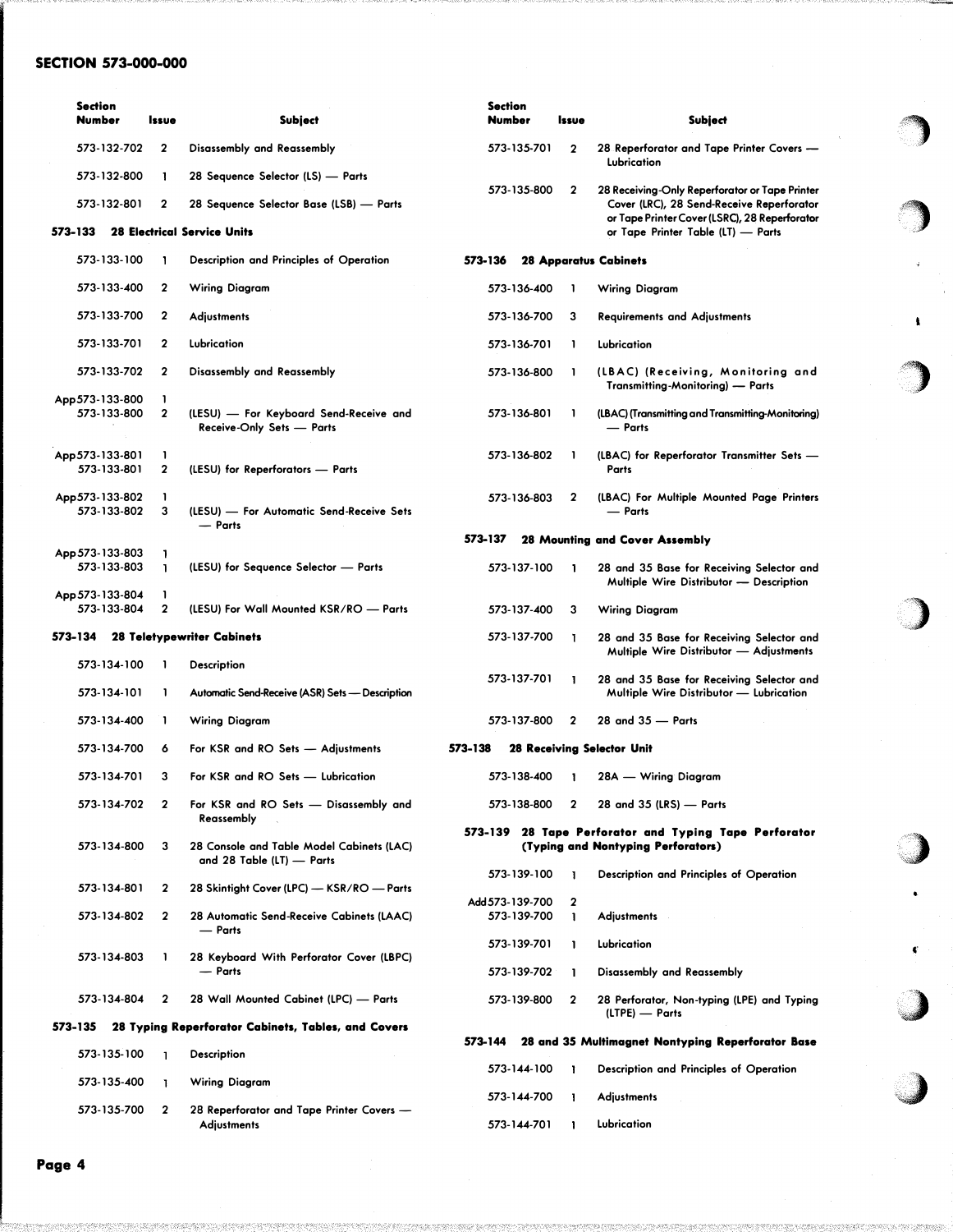## SECTION 573-000-000

| <b>Section</b><br><b>Number</b> |             | <b>Issue</b>                 | <b>Subject</b>                                                         | <b>Section</b><br><b>Number</b> |                                | <b>Issue</b>     | <b>Subject</b>                                                                             |
|---------------------------------|-------------|------------------------------|------------------------------------------------------------------------|---------------------------------|--------------------------------|------------------|--------------------------------------------------------------------------------------------|
|                                 | 573-132-702 | 2                            | Disassembly and Reassembly                                             |                                 | 573-135-701                    | $\mathbf 2$      | 28 Reperforator and Tape Printer Covers -<br>Lubrication                                   |
|                                 | 573-132-800 | 1                            | 28 Sequence Selector (LS) — Parts                                      |                                 | 573-135-800                    | $\mathbf{2}$     | 28 Receiving-Only Reperforator or Tape Printer                                             |
|                                 | 573-132-801 | 2                            | 28 Sequence Selector Base (LSB) — Parts                                |                                 |                                |                  | Cover (LRC), 28 Send-Receive Reperforator<br>or Tape Printer Cover (LSRC), 28 Reperforator |
| 573-133                         |             |                              | <b>28 Electrical Service Units</b>                                     |                                 |                                |                  | or Tape Printer Table (LT) - Parts                                                         |
|                                 | 573-133-100 |                              | Description and Principles of Operation                                | 573-136                         |                                |                  | <b>28 Apparatus Cabinets</b>                                                               |
|                                 | 573-133-400 | 2                            | Wiring Diagram                                                         |                                 | 573-136-400                    | 1                | Wiring Diagram                                                                             |
|                                 | 573-133-700 | 2                            | <b>Adjustments</b>                                                     |                                 | 573-136-700                    | 3                | <b>Requirements and Adjustments</b>                                                        |
|                                 | 573-133-701 | $\mathbf{2}$                 | Lubrication                                                            |                                 | 573-136-701                    | 1                | Lubrication                                                                                |
|                                 | 573-133-702 | $\mathbf{2}$                 | Disassembly and Reassembly                                             |                                 | 573-136-800                    | 1                | (LBAC) (Receiving, Monitoring and<br>Transmitting-Monitoring) - Parts                      |
| App 573-133-800                 | 573-133-800 | 1<br>$\mathbf 2$             | (LESU) — For Keyboard Send-Receive and<br>Receive-Only Sets - Parts    |                                 | 573-136-801                    | 1                | (LBAC) (Transmitting and Transmitting-Monitoring)<br>- Parts                               |
| App 573-133-801                 | 573-133-801 | 1<br>$\overline{\mathbf{2}}$ | (LESU) for Reperforators - Parts                                       |                                 | 573-136-802                    | 1                | (LBAC) for Reperforator Transmitter Sets -<br>Parts                                        |
| App 573-133-802                 | 573-133-802 | 1<br>3                       | (LESU) - For Automatic Send-Receive Sets<br>- Parts                    |                                 | 573-136-803                    | 2                | (LBAC) For Multiple Mounted Page Printers<br>- Parts                                       |
|                                 |             |                              |                                                                        | 573-137                         |                                |                  | 28 Mounting and Cover Assembly                                                             |
| App 573-133-803                 | 573-133-803 | 1<br>1                       | (LESU) for Sequence Selector - Parts                                   |                                 | 573-137-100                    | ı                | 28 and 35 Base for Receiving Selector and<br>Multiple Wire Distributor - Description       |
| App 573-133-804                 | 573-133-804 | 1<br>$\mathbf{2}$            | (LESU) For Wall Mounted KSR/RO - Parts                                 |                                 | 573-137-400                    | 3                | Wiring Diagram                                                                             |
| 573-134                         |             |                              | <b>28 Teletypewriter Cabinets</b>                                      |                                 | 573-137-700                    | L                | 28 and 35 Base for Receiving Selector and<br>Multiple Wire Distributor - Adjustments       |
|                                 | 573-134-100 | 1                            | <b>Description</b>                                                     |                                 |                                |                  |                                                                                            |
|                                 | 573-134-101 | ı                            | Automatic Send-Receive (ASR) Sets - Description                        |                                 | 573-137-701                    | ı                | 28 and 35 Base for Receiving Selector and<br>Multiple Wire Distributor - Lubrication       |
|                                 | 573-134-400 | 1                            | <b>Wiring Diagram</b>                                                  |                                 | 573-137-800                    | $\mathbf{2}$     | 28 and 35 - Parts                                                                          |
|                                 | 573-134-700 | 6                            | For KSR and RO Sets - Adjustments                                      | 573-138                         |                                |                  | 28 Receiving Selector Unit                                                                 |
|                                 | 573-134-701 | 3                            | For KSR and RO Sets - Lubrication                                      |                                 | 573-138-400                    | T                | 28A — Wiring Diagram                                                                       |
|                                 | 573-134-702 | $\mathbf{2}$                 | For KSR and RO Sets - Disassembly and<br>Reassembly                    |                                 | 573-138-800                    | 2                | 28 and 35 (LRS) - Parts                                                                    |
|                                 |             |                              |                                                                        |                                 |                                |                  | 573-139 28 Tape Perforator and Typing Tape Perforator                                      |
|                                 | 573-134-800 | 3                            | 28 Console and Table Model Cabinets (LAC)<br>and 28 Table (LT) - Parts |                                 |                                |                  | (Typing and Nontyping Perforators)                                                         |
|                                 | 573-134-801 | 2                            | 28 Skintight Cover (LPC) - KSR/RO - Parts                              |                                 | 573-139-100                    | 1                | Description and Principles of Operation                                                    |
|                                 | 573-134-802 | 2                            | 28 Automatic Send-Receive Cabinets (LAAC)<br>— Parts                   |                                 | Add 573-139-700<br>573-139-700 | $\mathbf 2$<br>1 | <b>Adjustments</b>                                                                         |
|                                 |             |                              |                                                                        |                                 | 573-139-701                    | L                | Lubrication                                                                                |
|                                 | 573-134-803 | J.                           | 28 Keyboard With Perforator Cover (LBPC)<br>— Parts                    |                                 | 573-139-702                    | -1               | Disassembly and Reassembly                                                                 |
|                                 | 573-134-804 | $\mathbf 2$                  | 28 Wall Mounted Cabinet (LPC) - Parts                                  |                                 | 573-139-800                    | $\mathbf 2$      | 28 Perforator, Non-typing (LPE) and Typing                                                 |
| 573-135                         |             |                              | 28 Typing Reperforator Cabinets, Tables, and Covers                    |                                 |                                |                  | (LTPE) — Parts                                                                             |
|                                 | 573-135-100 | L.                           | <b>Description</b>                                                     | 573-144                         |                                |                  | 28 and 35 Multimagnet Nontyping Reperforator Base                                          |
|                                 | 573-135-400 | T                            | Wiring Diagram                                                         |                                 | 573-144-100                    | J.               | Description and Principles of Operation                                                    |
|                                 | 573-135-700 | $\mathbf{2}$                 | 28 Reperforator and Tape Printer Covers -                              |                                 | 573-144-700                    | -1               | <b>Adjustments</b>                                                                         |
|                                 |             |                              | <b>Adjustments</b>                                                     |                                 | 573-144-701                    | $\mathbf{1}$     | Lubrication                                                                                |

'�

 $\mathcal{F}_{\mathcal{F}}$ 

'")

 $\pmb{\cdot}$ 

)

,)

•

..

 $\bullet$ 

·� ·J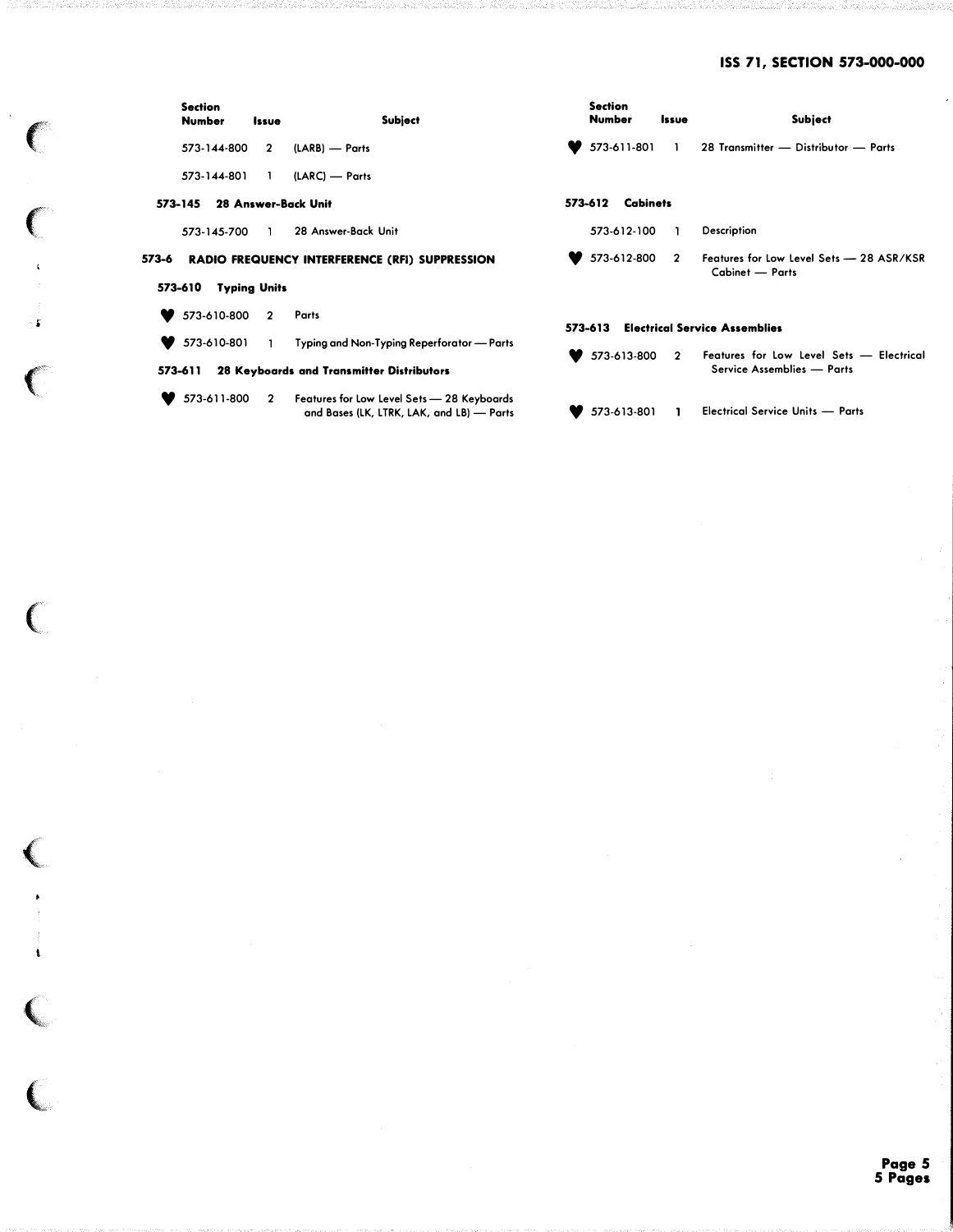# ISS 71, SECTION 573-000-000

|       | <b>Section</b><br><b>Number</b> | Issue          | Subject                                                                                   | <b>Section</b><br><b>Number</b>                 |                 | Issue          | <b>Subject</b>                                                                       |  |  |
|-------|---------------------------------|----------------|-------------------------------------------------------------------------------------------|-------------------------------------------------|-----------------|----------------|--------------------------------------------------------------------------------------|--|--|
|       | 573-144-800                     | $\overline{2}$ | (LARB) — Parts                                                                            |                                                 | 573-611-801     | $\mathbf{1}$   | 28 Transmitter - Distributor - Parts                                                 |  |  |
|       | 573-144-801                     | - 1            | (LARC) — Parts                                                                            |                                                 |                 |                |                                                                                      |  |  |
|       | 573-145                         |                | 28 Answer-Back Unit                                                                       | 573-612                                         | <b>Cabinets</b> |                |                                                                                      |  |  |
|       | 573-145-700                     | $\mathbf{L}$   | 28 Answer-Back Unit                                                                       |                                                 | 573-612-100     |                | Description                                                                          |  |  |
| 573-6 | <b>Typing Units</b><br>573-610  |                | <b>RADIO FREQUENCY INTERFERENCE (RFI) SUPPRESSION</b>                                     |                                                 | 573-612-800     | $\overline{2}$ | Features for Low Level Sets - 28 ASR/KSR<br>Cabinet - Parts                          |  |  |
|       | 573-610-800                     | $\overline{2}$ | Parts                                                                                     | <b>Electrical Service Assemblies</b><br>573-613 |                 |                |                                                                                      |  |  |
|       | 573-610-801<br>573–611          | $\mathbf{L}$   | Typing and Non-Typing Reperforator — Parts<br>28 Keyboards and Transmitter Distributors   |                                                 |                 |                | 573-613-800 2 Features for Low Level Sets - Electrical<br>Service Assemblies - Parts |  |  |
|       | 573-611-800                     |                | 2 Features for Low Level Sets — 28 Keyboards<br>and Bases (LK, LTRK, LAK, and LB) - Parts |                                                 | 573-613-801     | $\mathbf{I}$   | <b>Electrical Service Units - Parts</b>                                              |  |  |

 $\overline{C}$ 

 $\mathcal{C}$ 

 $\frac{1}{2}$ 

 $\begin{array}{c} \frac{1}{2} \\ \frac{1}{2} \end{array}$ 

 $\overline{C}$ 

 $\epsilon$ 

 $\left($ 

 $\begin{array}{c}\n\bullet \\
\bullet \\
\bullet\n\end{array}$ 

 $\frac{1}{\sqrt{2}}$ 

 $\big($ 

 $\overline{\mathbb{C}}$